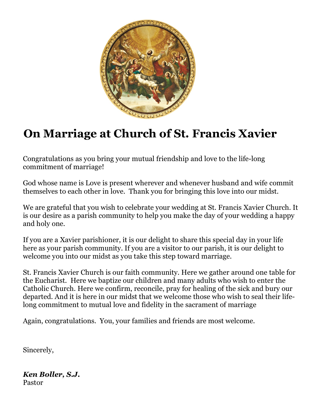

# **On Marriage at Church of St. Francis Xavier**

Congratulations as you bring your mutual friendship and love to the life-long commitment of marriage!

God whose name is Love is present wherever and whenever husband and wife commit themselves to each other in love. Thank you for bringing this love into our midst.

We are grateful that you wish to celebrate your wedding at St. Francis Xavier Church. It is our desire as a parish community to help you make the day of your wedding a happy and holy one.

If you are a Xavier parishioner, it is our delight to share this special day in your life here as your parish community. If you are a visitor to our parish, it is our delight to welcome you into our midst as you take this step toward marriage.

St. Francis Xavier Church is our faith community. Here we gather around one table for the Eucharist. Here we baptize our children and many adults who wish to enter the Catholic Church. Here we confirm, reconcile, pray for healing of the sick and bury our departed. And it is here in our midst that we welcome those who wish to seal their lifelong commitment to mutual love and fidelity in the sacrament of marriage

Again, congratulations. You, your families and friends are most welcome.

Sincerely,

*Ken Boller, S.J.* Pastor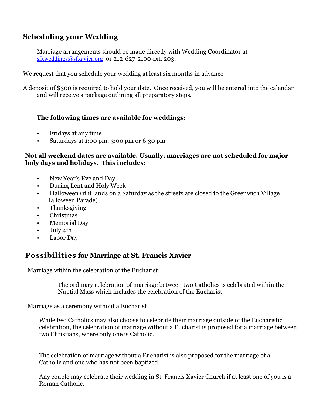# **Scheduling your Wedding**

Marriage arrangements should be made directly with Wedding Coordinator at sfxweddings@sfxavier.org or 212-627-2100 ext. 203.

We request that you schedule your wedding at least six months in advance.

A deposit of \$300 is required to hold your date. Once received, you will be entered into the calendar and will receive a package outlining all preparatory steps.

### **The following times are available for weddings:**

- Fridays at any time
- Saturdays at 1:00 pm, 3:00 pm or 6:30 pm.

#### **Not all weekend dates are available. Usually, marriages are not scheduled for major holy days and holidays. This includes:**

- New Year's Eve and Day
- During Lent and Holy Week
- Halloween (if it lands on a Saturday as the streets are closed to the Greenwich Village Halloween Parade)
- Thanksgiving
- Christmas
- Memorial Day
- July 4th
- Labor Day

## **Possibilities for Marriage at St. Francis Xavier**

Marriage within the celebration of the Eucharist

The ordinary celebration of marriage between two Catholics is celebrated within the Nuptial Mass which includes the celebration of the Eucharist

Marriage as a ceremony without a Eucharist

While two Catholics may also choose to celebrate their marriage outside of the Eucharistic celebration, the celebration of marriage without a Eucharist is proposed for a marriage between two Christians, where only one is Catholic.

The celebration of marriage without a Eucharist is also proposed for the marriage of a Catholic and one who has not been baptized.

Any couple may celebrate their wedding in St. Francis Xavier Church if at least one of you is a Roman Catholic.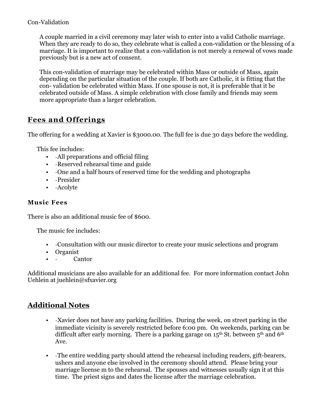### Con-Validation

A couple married in a civil ceremony may later wish to enter into a valid Catholic marriage. When they are ready to do so, they celebrate what is called a con-validation or the blessing of a marriage. It is important to realize that a con-validation is not merely a renewal of vows made previously but is a new act of consent.

This con-validation of marriage may be celebrated within Mass or outside of Mass, again depending on the particular situation of the couple. If both are Catholic, it is fitting that the con- validation be celebrated within Mass. If one spouse is not, it is preferable that it be celebrated outside of Mass. A simple celebration with close family and friends may seem more appropriate than a larger celebration.

# **Fees and Offerings**

The offering for a wedding at Xavier is \$3000.00. The full fee is due 30 days before the wedding.

This fee includes:

- -All preparations and official filing
- -Reserved rehearsal time and guide
- -One and a half hours of reserved time for the wedding and photographs
- -Presider
- -Acolyte

## **Music Fees**

There is also an additional music fee of \$600.

The music fee includes:

- -Consultation with our music director to create your music selections and program
- Organist
- - Cantor

Additional musicians are also available for an additional fee. For more information contact John Uehlein at juehlein@sfxavier.org

# **Additional Notes**

- -Xavier does not have any parking facilities. During the week, on street parking in the immediate vicinity is severely restricted before 6:00 pm. On weekends, parking can be difficult after early morning. There is a parking garage on  $15<sup>th</sup>$  St. between  $5<sup>th</sup>$  and  $6<sup>th</sup>$ Ave.
- -The entire wedding party should attend the rehearsal including readers, gift-bearers, ushers and anyone else involved in the ceremony should attend. Please bring your marriage license m to the rehearsal. The spouses and witnesses usually sign it at this time. The priest signs and dates the license after the marriage celebration.